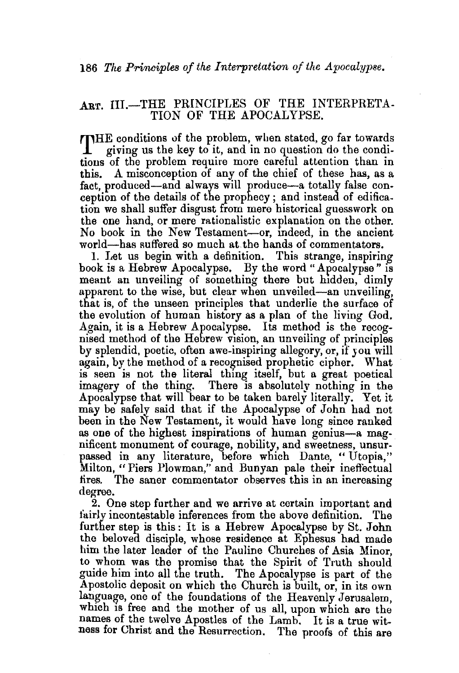## ART. III.-THE PRINCIPLES OF THE INTERPRETA-TION OF THE APOCALYPSE.

THE conditions uf the problem, when stated, go far towards giving us the key to it, and in no question do the conditions of the problem require more careful attention than in this. A misconception of any of the chief of these has, as a fact, produced-and always will produce-a totally false conception of the details of the prophecy ; and instead of edification we shall suffer disgust from mere historical guesswork on the one hand, or mere rationalistic explanation on the other. No book in the New Testament-or, mdeed, in the ancient world-bas suffered so much at. the hands of commentators.

1. Let us begin with a definition. This strange, inspiring book is a Hebrew Apocalypse. By the word "Apocalypse" is meant an unveiling of something there but hidden, dimly apparent to the wise, but clear when unveiled-an unveiling, that is, of the unseen principles that underlie the surface of the evolution of human history as a plan of the living God. Again, it is a Hebrew Apocalypse. Its method is the recognised method of the Hebrew vision, an unveiling of principles by splendid, poetic, often awe-inspiring allegory, or, if *you* will again, by the method of a recognised prophetic cipher. What is seen is not the literal thing itself, but a great poetical imagery of the thing. There is absolutely nothing in the Apocalypse that will bear to be taken barely literally. Yet it may be safely said that if the Apocalypse of John had not been in the New Testament, it would have long since ranked as one of the highest inspirations of human genius-a magnificent monument of courage, nobility, and sweetness, unsurpassed in any literature, before which Dante, "Utopia," Milton, " Piers Plowman,'' and Bunyan pale their ineffectual tires. The saner commentator observes this in an increasing degree.

2. One step further and we arrive at certain important and fairly incontestable inferences from the above definition. The further step is this: It is a Hebrew Apocalypse by St. John the belovea disciple, whose residence at Ephesus had made him the later leader of the Pauline Churches of Asia Minor, to whom was the promise that the Spirit of Truth should guide him into all the truth. The Apocalypse is part of the Apostolic deposit on which the Church is built, or, in its own language, one of the foundations of the Heavenly Jerusalem, which is free and the mother of us all, upon which are the names of the twelve Apostles of the Lamb. It is a true witness for Christ and the Resurrection. The proofs of this are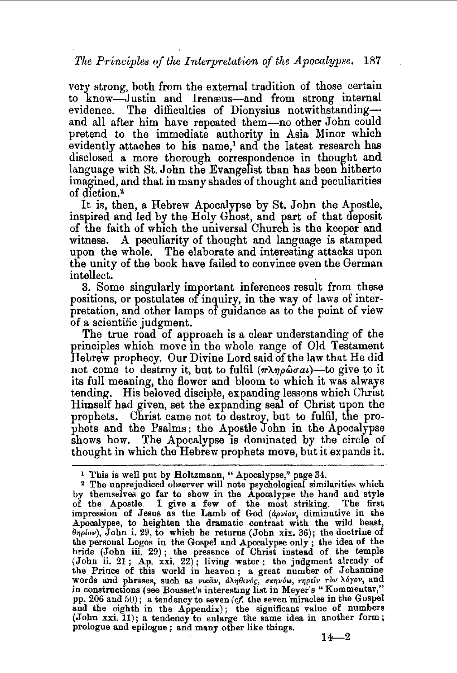very strong, both from the external tradition of those certain to know-Justin and Irenæus-and from strong internal evidence. The difficulties of Dionysius notwithstandingand all after him have repeated them-no other John could pretend to the immediate authority in Asia Minor which evidently attaches to his name,<sup>1</sup> and the latest research has disclosed a more thorough correspondence in thought and language with St. John the Evangelist than has been hitherto imagined, and that, in many shades of thought and peculiarities of diction.<sup>2</sup>

It is, then, a Hebrew Apocalypse by St. John the Apostle, inspired and led by the Holy Ghost, and part of that deposit of the faith of which the universal Church is the keeper and witness. A peculiarity of thought and language is stamped upon the whole. The elaborate and interesting attacks upon the unity of the book have failed to convince even the German intellect.<br>3. Some singularly important inferences result from these

positions, or postulates of inquiry, in the way of laws of interpretation, and other lamps of guidance as to the point of view

of a scientific judgment.<br>The true road of approach is a clear understanding of the principles which move in the whole range of Old Testament Hebrew prophecy. Our Divine Lord said of the law that He did not come to destroy it, but to fulfil  $(\pi \lambda \eta \rho \hat{\omega} \sigma a \hat{\rho})$ -to give to it its full meaning, the flower and bloom to which it was always tending. His beloved disciple, expanding lessons which Christ Himself had given, set the expanding seai of Christ upon the prophets. Christ came not to destroy, but to fulfil, the prophets and the Psalms: the Apostle John in the Apocalypse shows how. The Apocalypse is dominated by the circle of thought in which the Hebrew prophets move, but it expands it.

<sup>&</sup>lt;sup>1</sup> This is well put by Boltzmann, " Apocalypse," page 34.<br><sup>2</sup> The unprejudiced observer will note psychological similarities which by themselves go far to show in the Apocalypse the hand and style of the Apostle. I give a few of the most striking. The first impression of Jesus as the Lamb of God *(apvlov,* diminutive in the Apocalypse, to heighten the dramatic contrast with the wild beast,  $\theta$ *n<sub>p</sub>iov*), John i. 29, to which he returns (John xix. 36); the doctrine of the personal Logos in the Gospel and Apocalypse only ; the idea of the bride (John iii. 29); the presence of Christ instead of the temple (John ii. 21; Ap. xxi. 22); living water; the judgment already of the Prince of this world in heaven; a great number of Johannine words and phrases, such as νικάν, άληθινός, σκηνόω, τηρείν τον λόγον, and in constructions (see Bousset's interesting list in Meyer's "Kommentar," pp. 206 and 50); a tendency to seven (cf. the seven miracles in the Gospel and the eighth in the Appendix); the significant value of numbers (John xxi. 11); a tendency to enlarge the same idea in another form; prologue and epilogue ; and many other like things.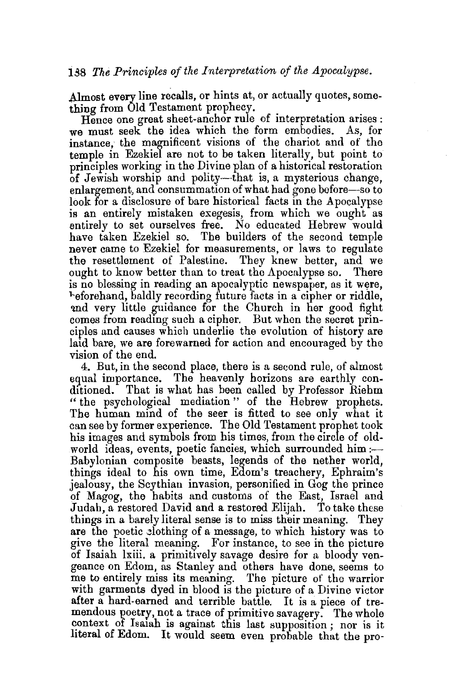Almost every line recalls, or hints at, or actually quotes, something from Old Testament prophecy.

Hence one great sheet-anchor rule of interpretation arises : we must seek the idea which the form embodies. As, for instance, the magnificent visions of the chariot and of the temple in Ezekiel are not to be taken literally, but point to principles working in the Divine plan of a historical restoration of Jewish worship and polity-that is, a mysterious change, enlargement, and consummation of what had gone before-so to look for a disclosure of bare historical facts in the Apocalypse is an entirely mistaken exegesis, from which we ought as entire]y to set ourselves free. No educated Hebrew would have taken Ezekiel so. The builders of the second temple never came to Ezekiel for measurements, or laws to regulate the resettlement of Palestine. They knew better, and we ought to know better than to treat the Apocalypse so. There is no blessing in reading an apocalyptic newspaper, as it were, "~-eforehand, baldly recording future facts in a cipher or riddle, and very little guidance for the Church in her good fight comes from reading such a cipher. But when the secret principles and causes which underlie the evolution of history are laid bare, we are forewarned for action and encouraged by the vision of the end.

4. But, in the second place, there is a second rule, of almost egual importance. The heavenly horizons are earthly conditioned. That is what has been called by Professor Riehm " the psychological mediation " of the Hebrew prophets. The human mind of the seer is fitted to see only what it can see by former experience. The Old Testament prophet took his images and symbols from his times, from the circle of oldworld ideas, events, poetic fancies, which surrounded him :-Babylonian composite beasts, legends of the nether world, things ideal to his own time, Edom's treachery, Ephraim's jealousy, the Scythian invasion, personified in Gog the prince of Magog, the habits and customs of the East, Israel and<br>Judah a restored David and a restored Elijah. To take these Judah, a restored David and a restored Elijah. things in a barely literal sense is to miss their meaning. They are the poetic elothing of a message, to which history was to give the literal meaning. For instance, to see in the picture of Isaiah lxiii. a primitively savage desire for a bloody vengeance on Edom, as Stanley and others have done, seems to me to entirely miss its meaning. The picture of the warrior with garments dyed in blood is the picture of a Divine victor after a hard-earned and terrible battle. It is a piece of tremendous poetry, not a trace of primitive savagery. The whole context of Isalah is against this last supposition; nor is it literal of Edom. It would seem even probable that the pro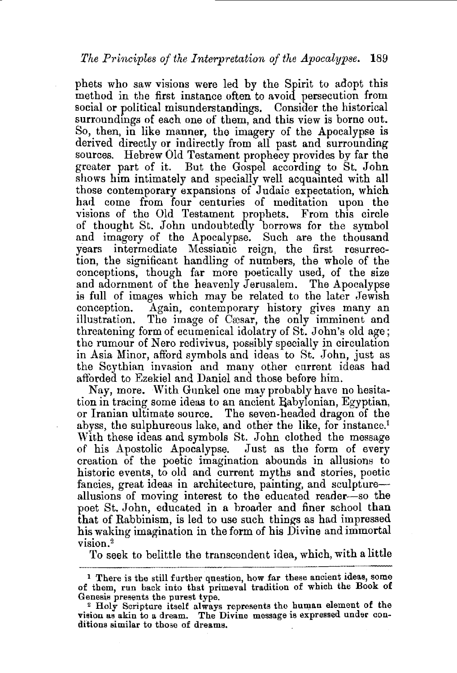phets who saw visions were led by the Spirit to adopt this method in the first instance often to avoid persecution from social or political misunderstandings. Consider the historical surroundings of each one of them, and this view is borne out. So, then, in like manner, the imagery of the Apocalypse is derived directly or indirectly from all past and surrounding sources. Hebrew Old Testament prophecy provides by far the greater part of it. But the Gospel according to St. John shows him intimately and specially well acquainted with all those contemporary expansions of Judaic expectation, which had come from four centuries of meditation upon the visions of the Old Testament prophets. From this circle of thought St. John undoubtedly borrows for the symbol and imagery of the Apocalypse. Such are the thousand years intermediate Messianic reign, the first resurrection, the significant handling of numbers, the whole of the conceptions, though far more poetically used, of the size and adornment of the heavenly Jerusalem. The Apocalypse is full of images which may be related to the later Jewish conception. Again, contemporary history gives many an illustration. The image of Casar, the only imminent and threatening form of ecumenical idolatry of St. John's old age; the rumour of Nero redivivus, possibly specially in circulation in Asia Minor, afford symbols and ideas to St. John, just as the Scythian invasion and many other current ideas had afforded to Ezekiel and Daniel and those before him.

Nay, more. With Gunkel one may probably have no hesitation in tracing some ideas to an ancient Babylonian, Egyptian, or Iranian ultimate source. The seven-headed dragon of the abyss, the sulphureous lake, and other the like, for instance.<sup>1</sup> With these ideas and symbols St. John clothed the message of his Apostolic Apocalypse. Just as the form of every creation of the poetic imagination abounds in allusions to historic events, to old and current myths and stories, poetic fancies, great ideas in architecture, painting, and sculptureallusions of moving interest to the educated reader-so the poet St. John, educated in a broader and finer school than that of Rabbinism, is led to use such things as had impressed his waking imagination in the form of his Divine and immortal vision.<sup>2</sup>

To seek to belittle the transcendent idea, which, with a little

<sup>l</sup>There is the still further question, how far these ancient ideas, some of them, run back into that primeval tradition of which the Book of Genesis presents the purest type.

<sup>2</sup>Holy Scripture itself always represents the human element of the vision as akin to a dream. The Divine message is expressed under con-<br>ditions similar to those of dreams.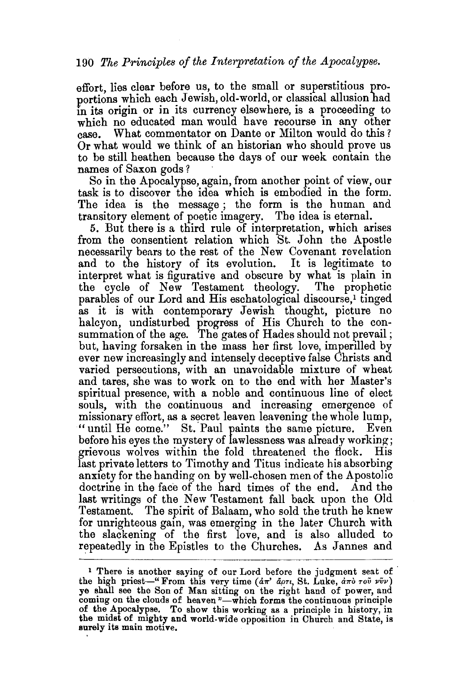effort, lies clear before us, to the small or superstitious proportions which each Jewish, old-world, or classical allusion had in its origin or in its currency elsewhere, is a proceeding to which no educated man would have recourse in any other case. What commentator on Dante or Milton would do this ? Or what would we think of an historian who should prove us to be still heathen because the days of our week contain the names of Saxon gods?

So in the Apocalypse, again, from another point of view, our task is to discover the idea which is embodied in the form. The idea is the message; the form is the human and transitory element of poetic imagery. The idea is eternal.

5. But there is a third rule of interpretation, which arises from the consentient relation which St. John the Apostle necessarily bears to the rest of the New Covenant revelation and to the history of its evolution. It is legitimate to interpret what is figurative and obscure by what is plain in the cycle of New Testament theology. The prophetic parables of our Lord and His eschatological discourse,<sup>1</sup> tinged as it is with contemporary Jewish thought, picture no halcyon, undisturbed progress of His Church to the consummation of the age. The gates of Hades should not prevail ; but, having forsaken in the mass her first love, imperilled by ever new increasingly and intensely deceptive false Christs and varied persecutions, with an unavoidable mixture of wheat and tares, she was to work on to the end with her Master's spiritual presence, with a noble and continuous line of elect souls, with the continuous and increasing emergence of missionary effort, as a secret leaven leavening the whole lump, " until He come." St. Paul paints the same picture. Even before his eyes the mystery of lawlessness was already working; grievous wolves within the fold threatened the flock. His last private letters to Timothy and Titus indicate his absorbing anxiety for the handing on by well-chosen men of the Apostolic doctrine in the face of the hard times of the end. And the last writings of the New Testament fall back upon the Old Testament. The spirit of Balaam, who sold the truth he knew for unrighteous gain, was emerging in the later Church with the slackening of the first love, and is also alluded to repeatedly in the Epistles to the Churches. As Jannes and

<sup>&</sup>lt;sup>1</sup> There is another saying of our Lord before the judgment seat of the high priest-" From this very time  $(d\pi' \ d\rho\tau_l, St.$  Luke,  $d\pi\delta \ \tau o\bar{\nu} \ \nu\bar{\nu}\nu)$ ye shall see the Son of Man sitting on the right hand of power, and coming on the clouds of heaven "-which forms the continuous principle of the. Apocalypse. To show this working as a principle in history, in the midst of mighty and world-wide opposition in Church and State, is surely its main motive.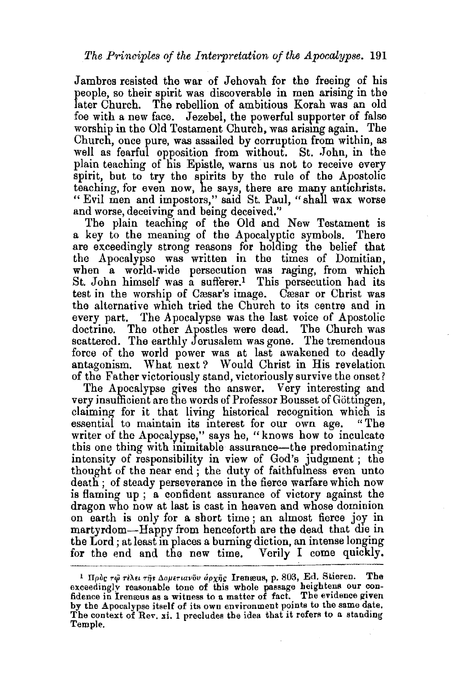Jambres resisted the war of Jehovah for the freeing of his people, so their spirit was discoverable in men arising in the later Church. The rebellion of ambitious Korah was an old foe with a new face. Jezebel, the powerful supporter of false worship in the Old Testament Church, was arismg again. The Church, once pure, was assailed by corruption from within, as well as fearful opposition from without. St. John, in the plain teaching of his Epistle, warns us not to receive every spirit, but to try the spirits by the rule of the Apostolic teaching, for even now, he says, there are many antichrists. "Evil men and impostors," said St. Paul, "shall wax worse and worse, deceiving and being deceived."

The plain teaching of the Old and New Testament is a key to the meaning of the Apocalyptic symbols. There are exceedingly strong reasons for holding the belief that the Apocalypse was written in the times of Domitian, when a world-wide persecution was raging, from which St. John himself was a sufferer.<sup>1</sup> This persecution had its test in the worship of Cæsar's image. Cæsar or Christ was the alternative which tried the Church to its centre and in every part. The Apocalypse was the last voice of Apostolic doctrine. The other Apostles were dead. The Church was scattered. The earthly Jerusalem was gone. The tremendous force of the world power was at last awakened to deadly antagonism. What next? Would Christ in His revelation of the Father victoriously stand, victoriously survive the onset?

The Apocalypse gives the answer. Very interesting and very insufficient are the words of Professor Bousset of Göttingen, claiming for it that living historical recognition which is essential to maintain its interest for our own age. "The essential to maintain its interest for our own age. writer of the Apocalypse," says he, "knows how to inculcate this one thing with mimitable assurance-the predominating intensity of responsibility in view of God's judgment ; the thought of the near end; the duty of faithfulness even unto death ; of steady perseverance in the fierce warfare which now is flaming up ; a confident assurance of victory against the dragon who now at last is cast in heaven and whose dominion on earth is only for a short time; an almost fierce joy in martyrdom-Happy from henceforth are the dead that die in the Lord ; at least in places a burning diction, an intense longing for the end and the new time. Verily I come quickly.

<sup>&</sup>lt;sup>1</sup> Πρός τψ τέλει της Δομετιανόν άρχης Irenæus, p. 803, Ed. Stieren. The exceedingly reasonable tone of this whole passage heightens our confidence in Irengus as a witness to a matter of fact. The evidence given by the Apocalypse itself of its own environment points to the same date. The context of Rev. xi. 1 precludes the idea that it refers to a standing Temple.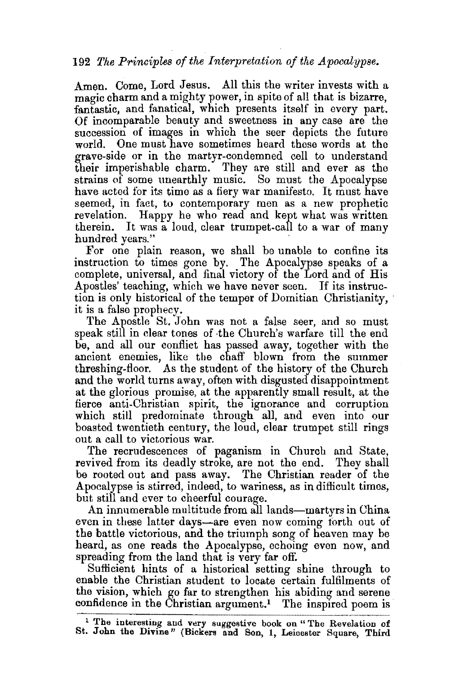## 192 *The Principles of the Interp-retation of the Apocalypse.*

Amen. Come, Lord Jesus. All this the writer invests with a magic charm and a mighty power, in spite of all that is bizarre, fantastic, and fanatical, which presents itself in every part. Of incomparable beauty and sweetness in any case are the succession of images in which the seer depicts the future world. One must have sometimes heard these words at the grave-side or in the martyr-condemned cell to understand their imperishable charm. They are still and ever as the strains of some unearthly music. So must the Apocalypse have acted for its time as a fiery war manifesto. It must have seemed, in fact, to contemporary men as a new prophetic revelation. Happy he who read and kept what was written therein. It was a loud, clear trumpet-call to a war of many hundred years."

For one plain reason, we shall be unable to confine its instruction to times gone by. The Apocalypse speaks of a complete, universal, and final victory of the Lord and of His Apostles' teaching, which we have never seen. If its instruction is only historical of the temper of Domitian Christianity, it is a false prophecy.

The Apostle St. John was not a false seer, and so must speak still in clear tones of the Church's warfare till the end be, and all our conflict has passed away, together with the ancient enemies, like the chaff blown from the summer threshing-floor. As the student of the history of the Church and the world turns away, often with disgusted disappointment at the glorious promise, at the apparently small result, at the fierce anti-Christian spirit, the ignorance and corruption which still predominate through all, and even into our boasted twentieth century, the loud, clear trumpet still rings out a call to victorious war.

The recrudescences of paganism in Church and State, revived from its deadly stroke, are not the end. They shall be rooted out and pass away. The Christian reader of the Apocalypse is stirred, indeed, to wariness, as in difficult times, but still and ever to cheerful courage.

An innumerable multitude from all lands—martyrs in China even in these latter days—are even now coming forth out of the battle victorious, and the triumph song of heaven may be heard, as one reads the Apocalypse, echoing even now, and spreading from the land that is very far off.

Sufficient hints of a historical setting shine through to enable the Christian student to locate certain fulfilments of the vision, which go far to strengthen his abiding and serene confidence in the Christian argument.<sup>1</sup> The inspired poem is

<sup>&</sup>lt;sup>1</sup> The interesting and very suggestive book on "The Revelation of St. John the Divine" (Bickers and Son, 1, Leicester Square, Third